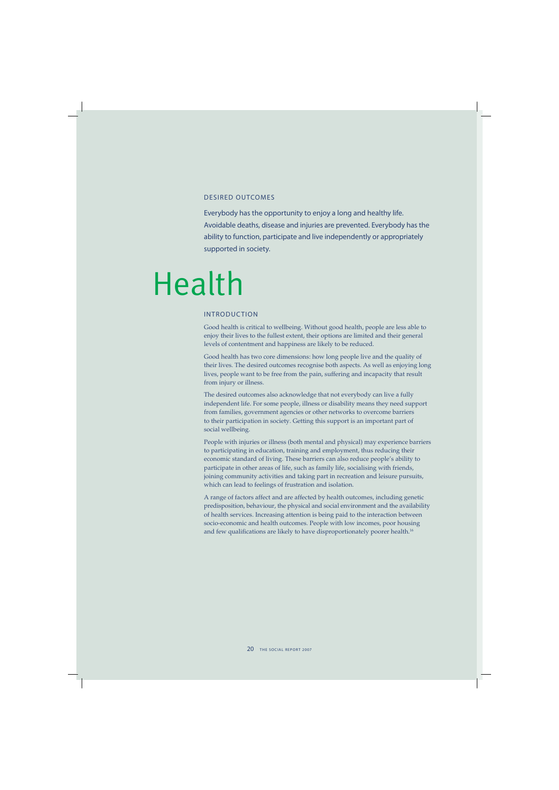## DESIRED OUTCOMES

Everybody has the opportunity to enjoy a long and healthy life. Avoidable deaths, disease and injuries are prevented. Everybody has the ability to function, participate and live independently or appropriately supported in society.

# Health

## INTRODUCTION

Good health is critical to wellbeing. Without good health, people are less able to enjoy their lives to the fullest extent, their options are limited and their general levels of contentment and happiness are likely to be reduced.

Good health has two core dimensions: how long people live and the quality of their lives. The desired outcomes recognise both aspects. As well as enjoying long lives, people want to be free from the pain, suffering and incapacity that result from injury or illness.

The desired outcomes also acknowledge that not everybody can live a fully independent life. For some people, illness or disability means they need support from families, government agencies or other networks to overcome barriers to their participation in society. Getting this support is an important part of social wellbeing.

People with injuries or illness (both mental and physical) may experience barriers to participating in education, training and employment, thus reducing their economic standard of living. These barriers can also reduce people's ability to participate in other areas of life, such as family life, socialising with friends, joining community activities and taking part in recreation and leisure pursuits, which can lead to feelings of frustration and isolation.

A range of factors affect and are affected by health outcomes, including genetic predisposition, behaviour, the physical and social environment and the availability of health services. Increasing attention is being paid to the interaction between socio-economic and health outcomes. People with low incomes, poor housing and few qualifications are likely to have disproportionately poorer health.<sup>16</sup>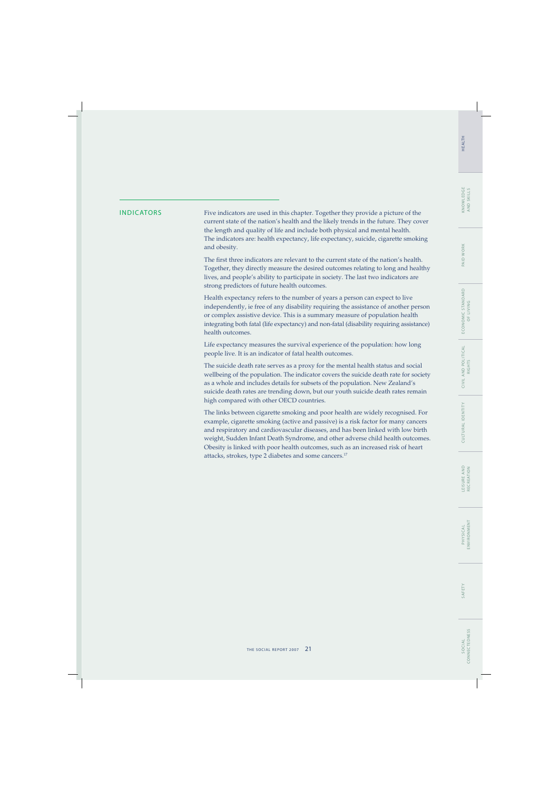# PAID WORK

INDICATORS Five indicators are used in this chapter. Together they provide a picture of the current state of the nation's health and the likely trends in the future. They cover the length and quality of life and include both physical and mental health. The indicators are: health expectancy, life expectancy, suicide, cigarette smoking and obesity.

> The first three indicators are relevant to the current state of the nation's health. Together, they directly measure the desired outcomes relating to long and healthy lives, and people's ability to participate in society. The last two indicators are strong predictors of future health outcomes.

> Health expectancy refers to the number of years a person can expect to live independently, ie free of any disability requiring the assistance of another person or complex assistive device. This is a summary measure of population health integrating both fatal (life expectancy) and non-fatal (disability requiring assistance) health outcomes.

Life expectancy measures the survival experience of the population: how long people live. It is an indicator of fatal health outcomes.

The suicide death rate serves as a proxy for the mental health status and social wellbeing of the population. The indicator covers the suicide death rate for society as a whole and includes details for subsets of the population. New Zealand's suicide death rates are trending down, but our youth suicide death rates remain high compared with other OECD countries.

The links between cigarette smoking and poor health are widely recognised. For example, cigarette smoking (active and passive) is a risk factor for many cancers and respiratory and cardiovascular diseases, and has been linked with low birth weight, Sudden Infant Death Syndrome, and other adverse child health outcomes. Obesity is linked with poor health outcomes, such as an increased risk of heart attacks, strokes, type 2 diabetes and some cancers.17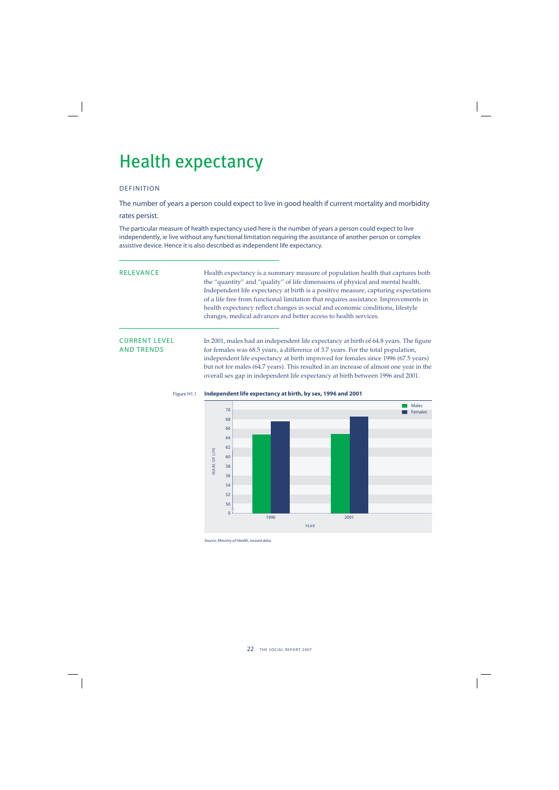## Health expectancy

## DEFINITION

The number of years a person could expect to live in good health if current mortality and morbidity

## rates persist.

The particular measure of health expectancy used here is the number of years a person could expect to live independently, ie live without any functional limitation requiring the assistance of another person or complex assistive device. Hence it is also described as independent life expectancy.

RELEVANCE Health expectancy is a summary measure of population health that captures both the "quantity" and "quality" of life dimensions of physical and mental health. Independent life expectancy at birth is a positive measure, capturing expectations of a life free from functional limitation that requires assistance. Improvements in health expectancy reflect changes in social and economic conditions, lifestyle changes, medical advances and better access to health services.

**CURRENT LEVEL** In 2001, males had an independent life expectancy at birth of 64.8 years. The figure<br>AND TRENDS for females was 68.5 years. a difference of 3.7 years. For the total population. for females was 68.5 years, a difference of 3.7 years. For the total population, independent life expectancy at birth improved for females since 1996 (67.5 years) but not for males (64.7 years). This resulted in an increase of almost one year in the overall sex gap in independent life expectancy at birth between 1996 and 2001.



## Figure H1.1 **Independent life expectancy at birth, by sex, 1996 and 2001**

Source: Ministry of Health, revised data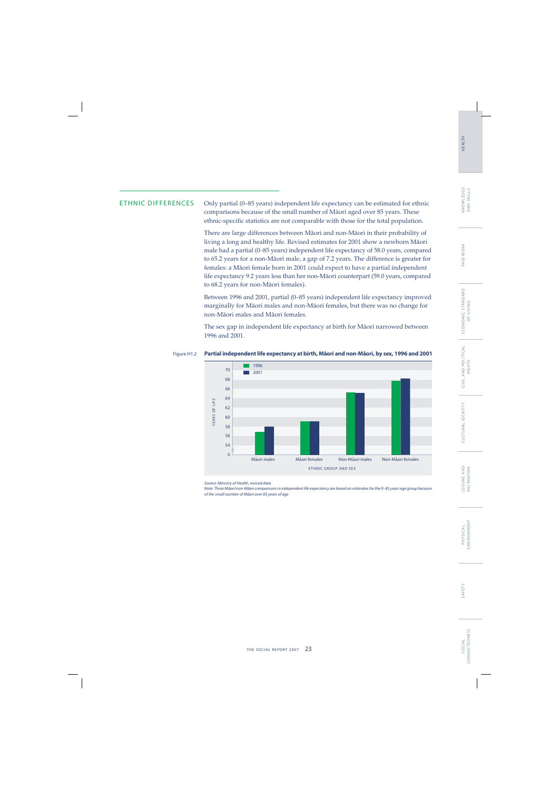# PAID WORK

ETHNIC DIFFERENCES Only partial (0–85 years) independent life expectancy can be estimated for ethnic comparisons because of the small number of Mäori aged over 85 years. These ethnic-specific statistics are not comparable with those for the total population.

> There are large differences between Mäori and non-Mäori in their probability of living a long and healthy life. Revised estimates for 2001 show a newborn Mäori male had a partial (0–85 years) independent life expectancy of 58.0 years, compared to 65.2 years for a non-Mäori male, a gap of 7.2 years. The difference is greater for females: a Mäori female born in 2001 could expect to have a partial independent life expectancy 9.2 years less than her non-Mäori counterpart (59.0 years, compared to 68.2 years for non-Mäori females).

> Between 1996 and 2001, partial (0–85 years) independent life expectancy improved marginally for Mäori males and non-Mäori females, but there was no change for non-Mäori males and Mäori females.

> The sex gap in independent life expectancy at birth for Mäori narrowed between 1996 and 2001.

## Figure H1.2 Pa<mark>rtial independent life expectancy at birth, Māori and non-Māori, by sex, 1996 and 2001</mark>



Source: Ministry of Health, revised data

Note: These Māori/non-Māori comparisons in independent life expectancy are based on estimates for the 0-85 years age group because of the small number of Māori over 85 years of age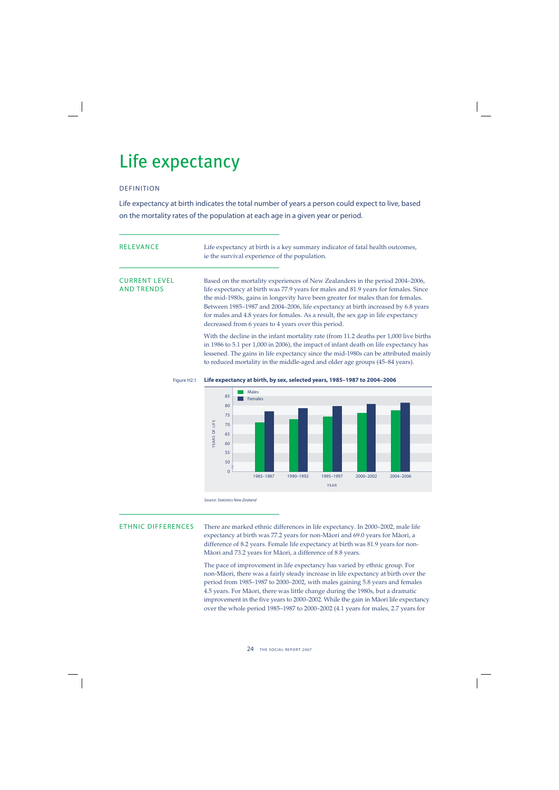## Life expectancy

## DEFINITION

Life expectancy at birth indicates the total number of years a person could expect to live, based on the mortality rates of the population at each age in a given year or period.

| <b>RELEVANCE</b>                          | Life expectancy at birth is a key summary indicator of fatal health outcomes,<br>ie the survival experience of the population.                                                                                                                                                                                                                                                                                                                                                         |  |  |  |  |
|-------------------------------------------|----------------------------------------------------------------------------------------------------------------------------------------------------------------------------------------------------------------------------------------------------------------------------------------------------------------------------------------------------------------------------------------------------------------------------------------------------------------------------------------|--|--|--|--|
| <b>CURRENT LEVEL</b><br><b>AND TRENDS</b> | Based on the mortality experiences of New Zealanders in the period 2004–2006,<br>life expectancy at birth was 77.9 years for males and 81.9 years for females. Since<br>the mid-1980s, gains in longevity have been greater for males than for females.<br>Between 1985–1987 and 2004–2006, life expectancy at birth increased by 6.8 years<br>for males and 4.8 years for females. As a result, the sex gap in life expectancy<br>decreased from 6 years to 4 years over this period. |  |  |  |  |
|                                           | With the decline in the infant mortality rate (from 11.2 deaths per 1,000 live births<br>in 1986 to 5.1 per 1,000 in 2006), the impact of infant death on life expectancy has<br>lessened. The gains in life expectancy since the mid-1980s can be attributed mainly                                                                                                                                                                                                                   |  |  |  |  |



to reduced mortality in the middle-aged and older age groups (45–84 years).

## Figure H2.1 **Life expectancy at birth, by sex, selected years, 1985–1987 to 2004–2006**

Source: Statistics New Zealand

ETHNIC DIFFERENCES There are marked ethnic differences in life expectancy. In 2000–2002, male life expectancy at birth was 77.2 years for non-Mäori and 69.0 years for Mäori, a difference of 8.2 years. Female life expectancy at birth was 81.9 years for non-Mäori and 73.2 years for Mäori, a difference of 8.8 years.

> The pace of improvement in life expectancy has varied by ethnic group. For non-Mäori, there was a fairly steady increase in life expectancy at birth over the period from 1985–1987 to 2000–2002, with males gaining 5.8 years and females 4.5 years. For Mäori, there was little change during the 1980s, but a dramatic improvement in the five years to 2000–2002. While the gain in Māori life expectancy over the whole period 1985–1987 to 2000–2002 (4.1 years for males, 2.7 years for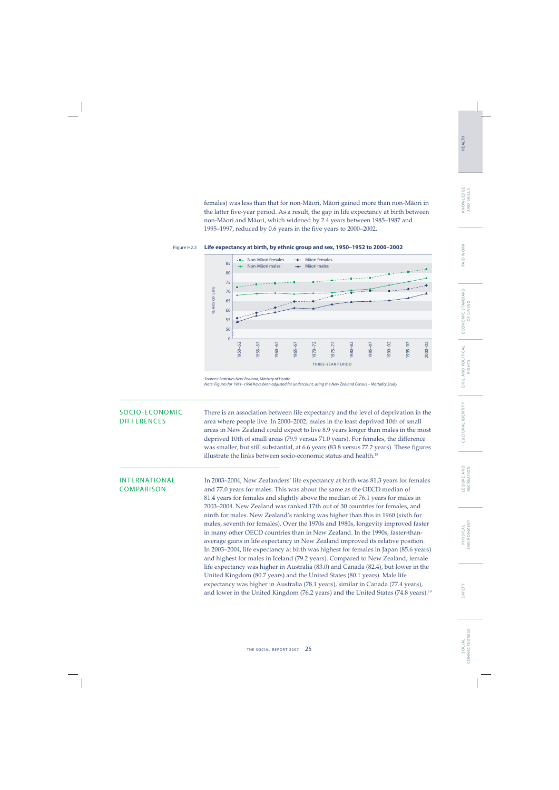females) was less than that for non-Mäori, Mäori gained more than non-Mäori in the latter five-year period. As a result, the gap in life expectancy at birth between non-Mäori and Mäori, which widened by 2.4 years between 1985–1987 and 1995–1997, reduced by 0.6 years in the five years to 2000–2002.

## Figure H2.2 **Life expectancy at birth, by ethnic group and sex, 1950–1952 to 2000–2002**



Sources: Statistics New Zealand; Ministry of Health Note: Figures for 1981–1996 have been adjusted for undercount, using the New Zealand Census – Mortality Study

SOCIO-ECONOMIC There is an association between life expectancy and the level of deprivation in the DIFFERENCES area where people live. In 2000–2002, males in the least deprived 10th of small area where people live. In 2000–2002, males in the least deprived 10th of small areas in New Zealand could expect to live 8.9 years longer than males in the most deprived 10th of small areas (79.9 versus 71.0 years). For females, the difference was smaller, but still substantial, at 6.6 years (83.8 versus 77.2 years). These figures illustrate the links between socio-economic status and health.<sup>18</sup>

INTERNATIONAL In 2003–2004, New Zealanders' life expectancy at birth was 81.3 years for females COMPARISON and 77.0 years for males. This was about the same as the OECD median of 81.4 years for females and slightly above the median of 76.1 years for males in 2003–2004. New Zealand was ranked 17th out of 30 countries for females, and ninth for males. New Zealand's ranking was higher than this in 1960 (sixth for males, seventh for females). Over the 1970s and 1980s, longevity improved faster in many other OECD countries than in New Zealand. In the 1990s, faster-thanaverage gains in life expectancy in New Zealand improved its relative position. In 2003–2004, life expectancy at birth was highest for females in Japan (85.6 years) and highest for males in Iceland (79.2 years). Compared to New Zealand, female life expectancy was higher in Australia (83.0) and Canada (82.4), but lower in the United Kingdom (80.7 years) and the United States (80.1 years). Male life expectancy was higher in Australia (78.1 years), similar in Canada (77.4 years), and lower in the United Kingdom (76.2 years) and the United States (74.8 years).<sup>19</sup>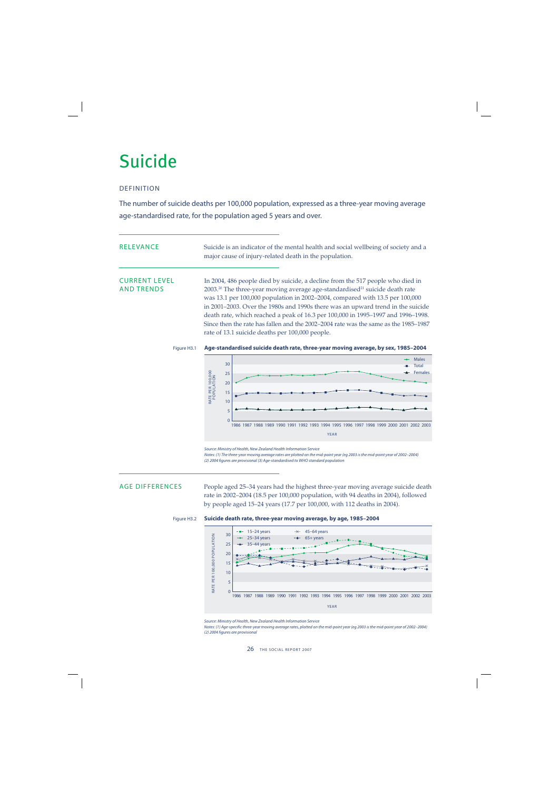## Suicide

## DEFINITION

The number of suicide deaths per 100,000 population, expressed as a three-year moving average age-standardised rate, for the population aged 5 years and over.

| RELEVANCE                                 | Suicide is an indicator of the mental health and social wellbeing of society and a<br>major cause of injury-related death in the population.                                                                                                                                                                                                                                                                                                                                                                                                                                           |  |  |  |  |
|-------------------------------------------|----------------------------------------------------------------------------------------------------------------------------------------------------------------------------------------------------------------------------------------------------------------------------------------------------------------------------------------------------------------------------------------------------------------------------------------------------------------------------------------------------------------------------------------------------------------------------------------|--|--|--|--|
| <b>CURRENT LEVEL</b><br><b>AND TRENDS</b> | In 2004, 486 people died by suicide, a decline from the 517 people who died in<br>2003. <sup>20</sup> The three-year moving average age-standardised <sup>21</sup> suicide death rate<br>was 13.1 per 100,000 population in 2002-2004, compared with 13.5 per 100,000<br>in 2001–2003. Over the 1980s and 1990s there was an upward trend in the suicide<br>death rate, which reached a peak of 16.3 per 100,000 in 1995-1997 and 1996-1998.<br>Since then the rate has fallen and the 2002–2004 rate was the same as the 1985–1987<br>rate of 13.1 suicide deaths per 100,000 people. |  |  |  |  |

## Figure H3.1 **Age-standardised suicide death rate, three-year moving average, by sex, 1985–2004**



Source: Ministry of Health, New Zealand Health Information Service

Notes: (1) The three-year moving average rates are plotted on the mid-point year (eg 2003 is the mid-point year of 2002–2004) (2) 2004 figures are provisional (3) Age-standardised to WHO standard population

AGE DIFFERENCES People aged 25-34 years had the highest three-year moving average suicide death rate in 2002–2004 (18.5 per 100,000 population, with 94 deaths in 2004), followed by people aged 15–24 years (17.7 per 100,000, with 112 deaths in 2004).





Source: Ministry of Health, New Zealand Health Information Service

Notes: (1) Age-specific three-year moving average rates, plotted on the mid-point year (eg 2003 is the mid-point year of 2002–2004) (2) 2004 figures are provisional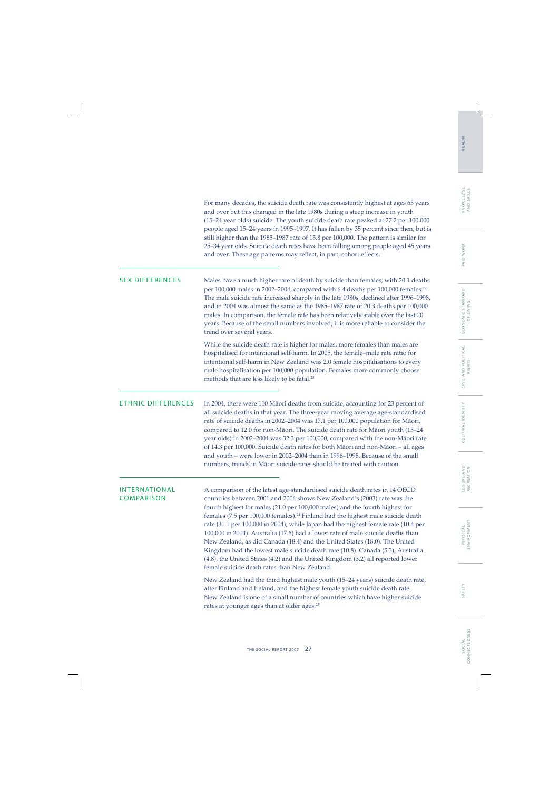|                             | (15-24 year olds) suicide. The youth suicide death rate peaked at 27.2 per 100,000<br>people aged 15-24 years in 1995-1997. It has fallen by 35 percent since then, but is<br>still higher than the 1985-1987 rate of 15.8 per 100,000. The pattern is similar for<br>25-34 year olds. Suicide death rates have been falling among people aged 45 years<br>and over. These age patterns may reflect, in part, cohort effects.                                                                                                                                                                                                                                                                                                                                                                                   |
|-----------------------------|-----------------------------------------------------------------------------------------------------------------------------------------------------------------------------------------------------------------------------------------------------------------------------------------------------------------------------------------------------------------------------------------------------------------------------------------------------------------------------------------------------------------------------------------------------------------------------------------------------------------------------------------------------------------------------------------------------------------------------------------------------------------------------------------------------------------|
| <b>SEX DIFFERENCES</b>      | Males have a much higher rate of death by suicide than females, with 20.1 deaths<br>per 100,000 males in 2002-2004, compared with 6.4 deaths per 100,000 females. <sup>22</sup><br>The male suicide rate increased sharply in the late 1980s, declined after 1996-1998,<br>and in 2004 was almost the same as the 1985-1987 rate of 20.3 deaths per 100,000<br>males. In comparison, the female rate has been relatively stable over the last 20<br>years. Because of the small numbers involved, it is more reliable to consider the<br>trend over several years.                                                                                                                                                                                                                                              |
|                             | While the suicide death rate is higher for males, more females than males are<br>hospitalised for intentional self-harm. In 2005, the female-male rate ratio for<br>intentional self-harm in New Zealand was 2.0 female hospitalisations to every<br>male hospitalisation per 100,000 population. Females more commonly choose<br>methods that are less likely to be fatal. <sup>23</sup>                                                                                                                                                                                                                                                                                                                                                                                                                       |
| <b>ETHNIC DIFFERENCES</b>   | In 2004, there were 110 Māori deaths from suicide, accounting for 23 percent of<br>all suicide deaths in that year. The three-year moving average age-standardised<br>rate of suicide deaths in 2002-2004 was 17.1 per 100,000 population for Māori,<br>compared to 12.0 for non-Māori. The suicide death rate for Māori youth (15-24<br>year olds) in 2002-2004 was 32.3 per 100,000, compared with the non-Māori rate<br>of 14.3 per 100,000. Suicide death rates for both Māori and non-Māori - all ages<br>and youth - were lower in 2002-2004 than in 1996-1998. Because of the small<br>numbers, trends in Māori suicide rates should be treated with caution.                                                                                                                                            |
| INTERNATIONAL<br>COMPARISON | A comparison of the latest age-standardised suicide death rates in 14 OECD<br>countries between 2001 and 2004 shows New Zealand's (2003) rate was the<br>fourth highest for males (21.0 per 100,000 males) and the fourth highest for<br>females (7.5 per 100,000 females). <sup>24</sup> Finland had the highest male suicide death<br>rate (31.1 per 100,000 in 2004), while Japan had the highest female rate (10.4 per<br>100,000 in 2004). Australia (17.6) had a lower rate of male suicide deaths than<br>New Zealand, as did Canada (18.4) and the United States (18.0). The United<br>Kingdom had the lowest male suicide death rate (10.8). Canada (5.3), Australia<br>(4.8), the United States (4.2) and the United Kingdom (3.2) all reported lower<br>female suicide death rates than New Zealand. |
|                             | New Zealand had the third highest male youth (15-24 years) suicide death rate,<br>after Finland and Ireland, and the highest female youth suicide death rate.<br>New Zealand is one of a small number of countries which have higher suicide<br>rates at younger ages than at older ages. <sup>25</sup>                                                                                                                                                                                                                                                                                                                                                                                                                                                                                                         |

For many decades, the suicide death rate was consistently highest at ages 65 years and over but this changed in the late 1980s during a steep increase in youth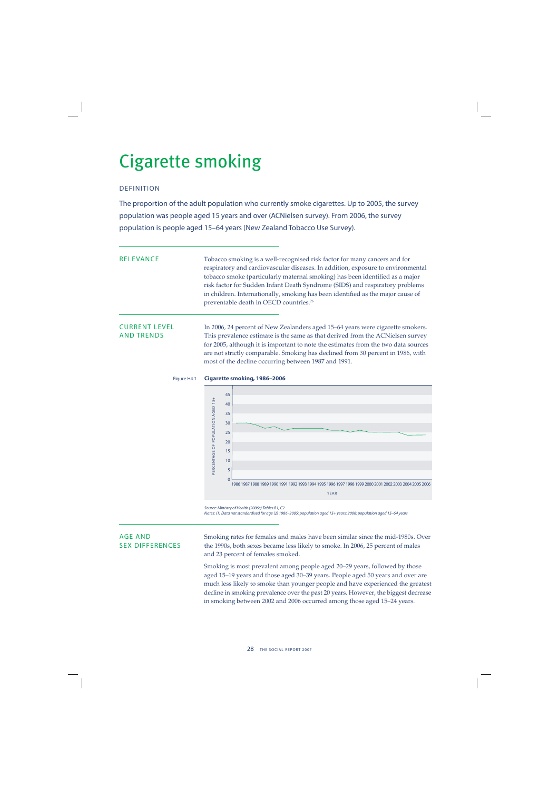## Cigarette smoking

## DEFINITION

The proportion of the adult population who currently smoke cigarettes. Up to 2005, the survey population was people aged 15 years and over (ACNielsen survey). From 2006, the survey population is people aged 15–64 years (New Zealand Tobacco Use Survey).

RELEVANCE Tobacco smoking is a well-recognised risk factor for many cancers and for respiratory and cardiovascular diseases. In addition, exposure to environmental tobacco smoke (particularly maternal smoking) has been identified as a major risk factor for Sudden Infant Death Syndrome (SIDS) and respiratory problems in children. Internationally, smoking has been identified as the major cause of preventable death in OECD countries.26

CURRENT LEVEL In 2006, 24 percent of New Zealanders aged 15–64 years were cigarette smokers.<br>AND TRENDS This prevalence estimate is the same as that derived from the ACNielsen survey This prevalence estimate is the same as that derived from the ACNielsen survey for 2005, although it is important to note the estimates from the two data sources are not strictly comparable. Smoking has declined from 30 percent in 1986, with most of the decline occurring between 1987 and 1991.

## Figure H4.1 **Cigarette smoking, 1986–2006**



Source: Ministry of Health (2006c) Tables B1, C2

Notes: (1) Data not standardised for age (2) 1986–2005: population aged 15+ years; 2006: population aged 15–64 years

AGE AND Smoking rates for females and males have been similar since the mid-1980s. Over SEX DIFFERENCES the 1990s, both sexes became less likely to smoke. In 2006, 25 percent of males and 23 percent of females smoked.

> Smoking is most prevalent among people aged 20–29 years, followed by those aged 15–19 years and those aged 30–39 years. People aged 50 years and over are much less likely to smoke than younger people and have experienced the greatest decline in smoking prevalence over the past 20 years. However, the biggest decrease in smoking between 2002 and 2006 occurred among those aged 15–24 years.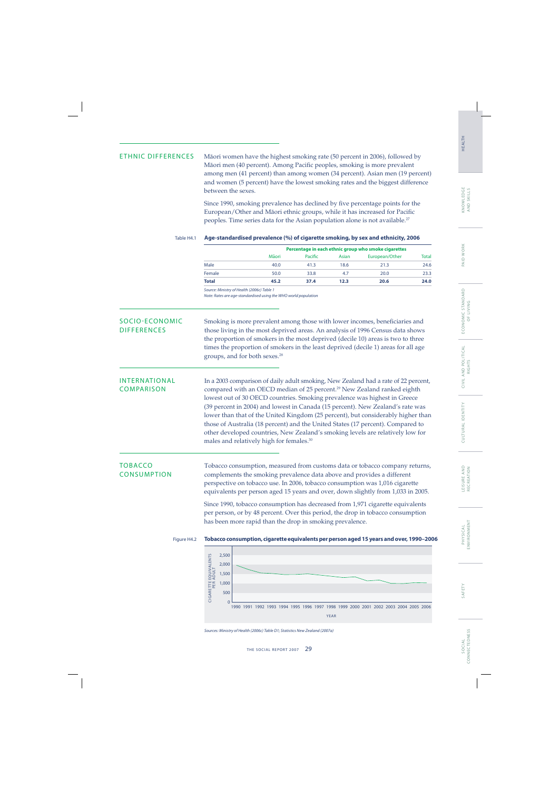ETHNIC DIFFERENCES Mäori women have the highest smoking rate (50 percent in 2006), followed by Māori men (40 percent). Among Pacific peoples, smoking is more prevalent among men (41 percent) than among women (34 percent). Asian men (19 percent) and women (5 percent) have the lowest smoking rates and the biggest difference between the sexes.

> Since 1990, smoking prevalence has declined by five percentage points for the European/Other and Māori ethnic groups, while it has increased for Pacific peoples. Time series data for the Asian population alone is not available.<sup>27</sup>

## Table H4.1 **Age-standardised prevalence (%) of cigarette smoking, by sex and ethnicity, 2006**

|        | Percentage in each ethnic group who smoke cigarettes |         |       |                |       |  |
|--------|------------------------------------------------------|---------|-------|----------------|-------|--|
|        | Māori                                                | Pacific | Asian | European/Other | Total |  |
| Male   | 40.0                                                 | 41.3    | 18.6  | 21.3           | 24.6  |  |
| Female | 50.0                                                 | 33.8    | 4.7   | 20.0           | 23.3  |  |
| Total  | 45.2                                                 | 37.4    | 12.3  | 20.6           | 24.0  |  |

Source: Ministry of Health (2006c) Table 1

Note: Rates are age-standardised using the WHO world population

SOCIO-ECONOMIC Smoking is more prevalent among those with lower incomes, beneficiaries and<br>DIFFERENCES those living in the most deprived areas. An analysis of 1996 Census data shows those living in the most deprived areas. An analysis of 1996 Census data shows the proportion of smokers in the most deprived (decile 10) areas is two to three times the proportion of smokers in the least deprived (decile 1) areas for all age groups, and for both sexes.28

INTERNATIONAL In a 2003 comparison of daily adult smoking, New Zealand had a rate of 22 percent, COMPARISON compared with an OECD median of 25 percent.29 New Zealand ranked eighth lowest out of 30 OECD countries. Smoking prevalence was highest in Greece (39 percent in 2004) and lowest in Canada (15 percent). New Zealand's rate was lower than that of the United Kingdom (25 percent), but considerably higher than those of Australia (18 percent) and the United States (17 percent). Compared to other developed countries, New Zealand's smoking levels are relatively low for males and relatively high for females.<sup>30</sup>

TOBACCO Tobacco consumption, measured from customs data or tobacco company returns,<br>CONSUMPTION complements the smoking prevalence data above and provides a different complements the smoking prevalence data above and provides a different perspective on tobacco use. In 2006, tobacco consumption was 1,016 cigarette equivalents per person aged 15 years and over, down slightly from 1,033 in 2005.

> Since 1990, tobacco consumption has decreased from 1,971 cigarette equivalents per person, or by 48 percent. Over this period, the drop in tobacco consumption has been more rapid than the drop in smoking prevalence.

## Figure H4.2 **Tobacco consumption, cigarette equivalents per person aged 15 years and over, 1990–2006**



Sources: Ministry of Health (2006c) Table D1; Statistics New Zealand (2007a)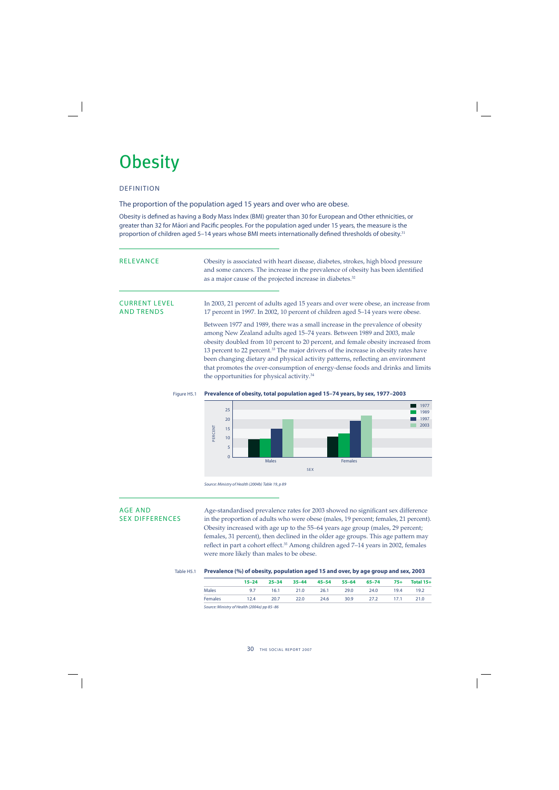## **Obesity**

## DEFINITION

The proportion of the population aged 15 years and over who are obese.

Obesity is defined as having a Body Mass Index (BMI) greater than 30 for European and Other ethnicities, or greater than 32 for Māori and Pacific peoples. For the population aged under 15 years, the measure is the proportion of children aged 5–14 years whose BMI meets internationally defined thresholds of obesity.<sup>31</sup>

| <b>RELEVANCE</b>                          | Obesity is associated with heart disease, diabetes, strokes, high blood pressure<br>and some cancers. The increase in the prevalence of obesity has been identified<br>as a major cause of the projected increase in diabetes. <sup>32</sup>                                                                                                                                                                                                                                                                                                                                   |  |  |  |  |
|-------------------------------------------|--------------------------------------------------------------------------------------------------------------------------------------------------------------------------------------------------------------------------------------------------------------------------------------------------------------------------------------------------------------------------------------------------------------------------------------------------------------------------------------------------------------------------------------------------------------------------------|--|--|--|--|
| <b>CURRENT LEVEL</b><br><b>AND TRENDS</b> | In 2003, 21 percent of adults aged 15 years and over were obese, an increase from<br>17 percent in 1997. In 2002, 10 percent of children aged 5-14 years were obese.                                                                                                                                                                                                                                                                                                                                                                                                           |  |  |  |  |
|                                           | Between 1977 and 1989, there was a small increase in the prevalence of obesity<br>among New Zealand adults aged 15-74 years. Between 1989 and 2003, male<br>obesity doubled from 10 percent to 20 percent, and female obesity increased from<br>13 percent to 22 percent. <sup>33</sup> The major drivers of the increase in obesity rates have<br>been changing dietary and physical activity patterns, reflecting an environment<br>that promotes the over-consumption of energy-dense foods and drinks and limits<br>the opportunities for physical activity. <sup>34</sup> |  |  |  |  |





Source: Ministry of Health (2004b) Table 19, p 89

AGE AND Age-standardised prevalence rates for 2003 showed no significant sex difference<br>SEX DIFFERENCES in the proportion of adults who were obese (males. 19 percent: females. 21 percent) in the proportion of adults who were obese (males, 19 percent; females, 21 percent). Obesity increased with age up to the 55–64 years age group (males, 29 percent; females, 31 percent), then declined in the older age groups. This age pattern may reflect in part a cohort effect.<sup>35</sup> Among children aged 7-14 years in 2002, females were more likely than males to be obese.

Table H5.1 **Prevalence (%) of obesity, population aged 15 and over, by age group and sex, 2003**

|                | $15 - 24$ | $25 - 34$ | $35 - 44$ |      | 45–54 55–64 65–74 |      |      | 75+ Total 15+ |
|----------------|-----------|-----------|-----------|------|-------------------|------|------|---------------|
| <b>Males</b>   | 9.7       |           | 16.1 21.0 | 26.1 | 29.0              | 24.0 | 19.4 | 19.2          |
| <b>Females</b> | 12.4      | 20.7      | 22.0      | 24.6 | 30.9              | 27.2 | 17.1 | 21.0          |

Source: Ministry of Health (2004a) pp 85–86